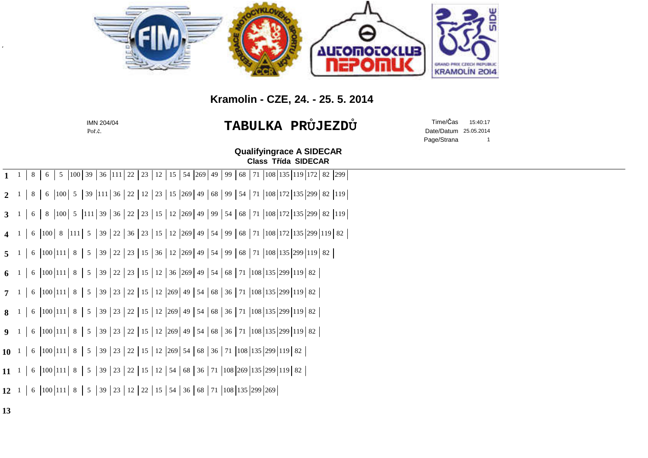

## **Kramolin - CZE, 24. - 25. 5. 2014**

|                   | IMN 204/04<br>Poř.č.                                                                                                                                                                                                                                                                                                                                                                                   | <b>TABULKA PRÜJEZDÜ</b>                                              | Time/Čas<br>15:40:17<br>Date/Datum 25.05.2014<br>Page/Strana<br>$\overline{\phantom{0}}$ 1 |  |
|-------------------|--------------------------------------------------------------------------------------------------------------------------------------------------------------------------------------------------------------------------------------------------------------------------------------------------------------------------------------------------------------------------------------------------------|----------------------------------------------------------------------|--------------------------------------------------------------------------------------------|--|
|                   |                                                                                                                                                                                                                                                                                                                                                                                                        | <b>Qualifyingrace A SIDECAR</b><br><b>Class Třída SIDECAR</b>        |                                                                                            |  |
| $1 \quad 1$       | $5 \left  100 \right  39 \left  36 \right  111 \left  22 \right  23$<br>  $12$  <br>8<br>6                                                                                                                                                                                                                                                                                                             | 15   54   269   49   99   68   71   108   135   119   172   82   299 |                                                                                            |  |
| $2^{\frac{1}{2}}$ | 6   100   5   39   111   36   22   12   23   15   269   49   68   99   54   71   108   172   135   299   82   119  <br>8 <sup>1</sup>                                                                                                                                                                                                                                                                  |                                                                      |                                                                                            |  |
| $3-1$             | 6   8   100   5   111   39   36   22   23   15   12   269   49   99   54   68   71   108   172   135   299   82   119                                                                                                                                                                                                                                                                                  |                                                                      |                                                                                            |  |
| $4 \quad 1$       | 6   100   8   111   5   39   22   36   23   15   12   269   49   54   99   68   71   108   172   135   299   119   82                                                                                                                                                                                                                                                                                  |                                                                      |                                                                                            |  |
| $5 \quad 1$       | 6   100   111   8   5   39   22   23   15   36   12   269   49   54   99   68   71   108   135   299   119   82                                                                                                                                                                                                                                                                                        |                                                                      |                                                                                            |  |
| $6-1$             | 6 $\left 100\right 111\left 8\right 5\left 39\right 22\left 23\right 15\left 12\right 36\left 269\right 49\left 54\right 68\left 71\right 108\left 135\right 299\left 119\right 82\right $                                                                                                                                                                                                             |                                                                      |                                                                                            |  |
|                   | 6 $\vert 100 \vert 111 \vert 8 \vert 5 \vert 39 \vert 23 \vert 22 \vert 15 \vert 12 \vert 269 \vert 49 \vert 54 \vert 68 \vert 36 \vert 71 \vert 108 \vert 135 \vert 299 \vert 119 \vert 82 \vert 131 \vert 103 \vert 135 \vert 136 \vert 137 \vert 138 \vert 139 \vert 138 \vert 139 \vert 139 \vert 130 \vert 130 \vert 131 \vert 132 \vert 133 \vert 134 \vert 135 \vert 136 \vert 13$<br>$7\quad1$ |                                                                      |                                                                                            |  |
| 8 <sup>1</sup>    | 6 $\vert 100 \vert 111 \vert 8 \vert 5 \vert 39 \vert 23 \vert 22 \vert 15 \vert 12 \vert 269 \vert 49 \vert 54 \vert 68 \vert 36 \vert 71 \vert 108 \vert 135 \vert 299 \vert 119 \vert 82 \vert 131 \vert 103 \vert 135 \vert 136 \vert 137 \vert 138 \vert 139 \vert 130 \vert 135 \vert 139 \vert 130 \vert 130 \vert 131 \vert 132 \vert 133 \vert 134 \vert 135 \vert 136 \vert 13$              |                                                                      |                                                                                            |  |
| 9 <sub>1</sub>    | 6   100   111   8   5   39   23   22   15   12   269   49   54   68   36   71   108   135   299   119   82                                                                                                                                                                                                                                                                                             |                                                                      |                                                                                            |  |
| $10^{1}$          | 6 $\vert 100 \vert 111 \vert 8 \vert 5 \vert 39 \vert 23 \vert 22 \vert 15 \vert 12 \vert 269 \vert 54 \vert 68 \vert 36 \vert 71 \vert 108 \vert 135 \vert 299 \vert 119 \vert 82$                                                                                                                                                                                                                    |                                                                      |                                                                                            |  |
| 11 <sup>1</sup>   | 6 $\vert 100 \vert 111 \vert 8 \vert 5 \vert 39 \vert 23 \vert 22 \vert 15 \vert 12 \vert 54 \vert 68 \vert 36 \vert 71 \vert 108 \vert 269 \vert 135 \vert 299 \vert 119 \vert 82 \vert 131 \vert 108 \vert 135 \vert 136 \vert 137 \vert 138 \vert 139 \vert 138 \vert 139 \vert 139 \vert 130 \vert 130 \vert 130 \vert 130 \vert 130 \vert 130 \vert 130 \vert 130 \vert 130 \vert 1$              |                                                                      |                                                                                            |  |
| $12^{1}$          | 6 $\vert 100 \vert 111 \vert 8 \vert 5 \vert 39 \vert 23 \vert 12 \vert 22 \vert 15 \vert 54 \vert 36 \vert 68 \vert 71 \vert 108 \vert 135 \vert 299 \vert 269 \vert$                                                                                                                                                                                                                                 |                                                                      |                                                                                            |  |
|                   |                                                                                                                                                                                                                                                                                                                                                                                                        |                                                                      |                                                                                            |  |